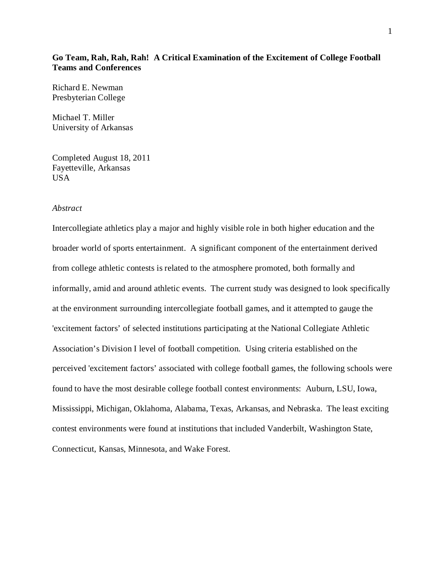### **Go Team, Rah, Rah, Rah! A Critical Examination of the Excitement of College Football Teams and Conferences**

Richard E. Newman Presbyterian College

Michael T. Miller University of Arkansas

Completed August 18, 2011 Fayetteville, Arkansas USA

### *Abstract*

Intercollegiate athletics play a major and highly visible role in both higher education and the broader world of sports entertainment. A significant component of the entertainment derived from college athletic contests is related to the atmosphere promoted, both formally and informally, amid and around athletic events. The current study was designed to look specifically at the environment surrounding intercollegiate football games, and it attempted to gauge the 'excitement factors' of selected institutions participating at the National Collegiate Athletic Association's Division I level of football competition. Using criteria established on the perceived 'excitement factors' associated with college football games, the following schools were found to have the most desirable college football contest environments: Auburn, LSU, Iowa, Mississippi, Michigan, Oklahoma, Alabama, Texas, Arkansas, and Nebraska. The least exciting contest environments were found at institutions that included Vanderbilt, Washington State, Connecticut, Kansas, Minnesota, and Wake Forest.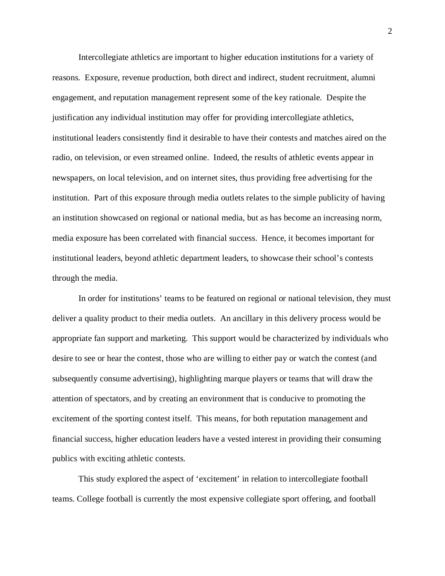Intercollegiate athletics are important to higher education institutions for a variety of reasons. Exposure, revenue production, both direct and indirect, student recruitment, alumni engagement, and reputation management represent some of the key rationale. Despite the justification any individual institution may offer for providing intercollegiate athletics, institutional leaders consistently find it desirable to have their contests and matches aired on the radio, on television, or even streamed online. Indeed, the results of athletic events appear in newspapers, on local television, and on internet sites, thus providing free advertising for the institution. Part of this exposure through media outlets relates to the simple publicity of having an institution showcased on regional or national media, but as has become an increasing norm, media exposure has been correlated with financial success. Hence, it becomes important for institutional leaders, beyond athletic department leaders, to showcase their school's contests through the media.

In order for institutions' teams to be featured on regional or national television, they must deliver a quality product to their media outlets. An ancillary in this delivery process would be appropriate fan support and marketing. This support would be characterized by individuals who desire to see or hear the contest, those who are willing to either pay or watch the contest (and subsequently consume advertising), highlighting marque players or teams that will draw the attention of spectators, and by creating an environment that is conducive to promoting the excitement of the sporting contest itself. This means, for both reputation management and financial success, higher education leaders have a vested interest in providing their consuming publics with exciting athletic contests.

This study explored the aspect of 'excitement' in relation to intercollegiate football teams. College football is currently the most expensive collegiate sport offering, and football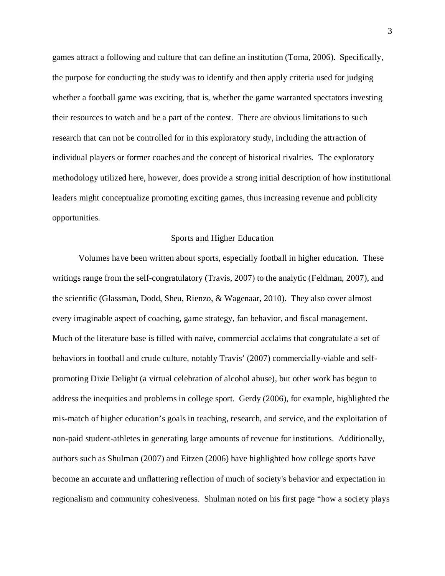games attract a following and culture that can define an institution (Toma, 2006). Specifically, the purpose for conducting the study was to identify and then apply criteria used for judging whether a football game was exciting, that is, whether the game warranted spectators investing their resources to watch and be a part of the contest. There are obvious limitations to such research that can not be controlled for in this exploratory study, including the attraction of individual players or former coaches and the concept of historical rivalries. The exploratory methodology utilized here, however, does provide a strong initial description of how institutional leaders might conceptualize promoting exciting games, thus increasing revenue and publicity opportunities.

#### Sports and Higher Education

Volumes have been written about sports, especially football in higher education. These writings range from the self-congratulatory (Travis, 2007) to the analytic (Feldman, 2007), and the scientific (Glassman, Dodd, Sheu, Rienzo, & Wagenaar, 2010). They also cover almost every imaginable aspect of coaching, game strategy, fan behavior, and fiscal management. Much of the literature base is filled with naïve, commercial acclaims that congratulate a set of behaviors in football and crude culture, notably Travis' (2007) commercially-viable and selfpromoting Dixie Delight (a virtual celebration of alcohol abuse), but other work has begun to address the inequities and problems in college sport. Gerdy (2006), for example, highlighted the mis-match of higher education's goals in teaching, research, and service, and the exploitation of non-paid student-athletes in generating large amounts of revenue for institutions. Additionally, authors such as Shulman (2007) and Eitzen (2006) have highlighted how college sports have become an accurate and unflattering reflection of much of society's behavior and expectation in regionalism and community cohesiveness. Shulman noted on his first page "how a society plays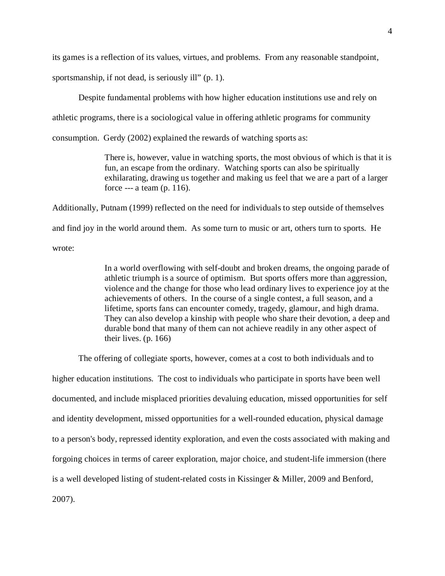its games is a reflection of its values, virtues, and problems. From any reasonable standpoint,

sportsmanship, if not dead, is seriously ill" (p. 1).

Despite fundamental problems with how higher education institutions use and rely on

athletic programs, there is a sociological value in offering athletic programs for community

consumption. Gerdy (2002) explained the rewards of watching sports as:

There is, however, value in watching sports, the most obvious of which is that it is fun, an escape from the ordinary. Watching sports can also be spiritually exhilarating, drawing us together and making us feel that we are a part of a larger force --- a team (p. 116).

Additionally, Putnam (1999) reflected on the need for individuals to step outside of themselves and find joy in the world around them. As some turn to music or art, others turn to sports. He wrote:

> In a world overflowing with self-doubt and broken dreams, the ongoing parade of athletic triumph is a source of optimism. But sports offers more than aggression, violence and the change for those who lead ordinary lives to experience joy at the achievements of others. In the course of a single contest, a full season, and a lifetime, sports fans can encounter comedy, tragedy, glamour, and high drama. They can also develop a kinship with people who share their devotion, a deep and durable bond that many of them can not achieve readily in any other aspect of their lives. (p. 166)

The offering of collegiate sports, however, comes at a cost to both individuals and to higher education institutions. The cost to individuals who participate in sports have been well documented, and include misplaced priorities devaluing education, missed opportunities for self and identity development, missed opportunities for a well-rounded education, physical damage to a person's body, repressed identity exploration, and even the costs associated with making and forgoing choices in terms of career exploration, major choice, and student-life immersion (there is a well developed listing of student-related costs in Kissinger & Miller, 2009 and Benford, 2007).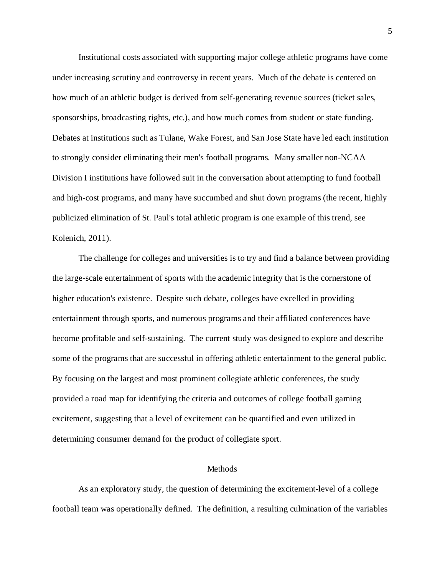Institutional costs associated with supporting major college athletic programs have come under increasing scrutiny and controversy in recent years. Much of the debate is centered on how much of an athletic budget is derived from self-generating revenue sources (ticket sales, sponsorships, broadcasting rights, etc.), and how much comes from student or state funding. Debates at institutions such as Tulane, Wake Forest, and San Jose State have led each institution to strongly consider eliminating their men's football programs. Many smaller non-NCAA Division I institutions have followed suit in the conversation about attempting to fund football and high-cost programs, and many have succumbed and shut down programs (the recent, highly publicized elimination of St. Paul's total athletic program is one example of this trend, see Kolenich, 2011).

The challenge for colleges and universities is to try and find a balance between providing the large-scale entertainment of sports with the academic integrity that is the cornerstone of higher education's existence. Despite such debate, colleges have excelled in providing entertainment through sports, and numerous programs and their affiliated conferences have become profitable and self-sustaining. The current study was designed to explore and describe some of the programs that are successful in offering athletic entertainment to the general public. By focusing on the largest and most prominent collegiate athletic conferences, the study provided a road map for identifying the criteria and outcomes of college football gaming excitement, suggesting that a level of excitement can be quantified and even utilized in determining consumer demand for the product of collegiate sport.

#### **Methods**

As an exploratory study, the question of determining the excitement-level of a college football team was operationally defined. The definition, a resulting culmination of the variables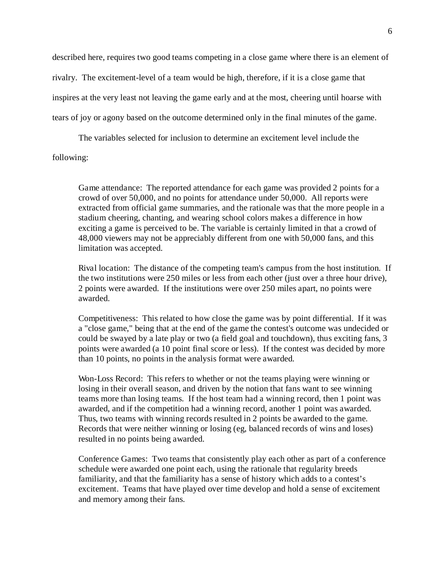described here, requires two good teams competing in a close game where there is an element of rivalry. The excitement-level of a team would be high, therefore, if it is a close game that inspires at the very least not leaving the game early and at the most, cheering until hoarse with tears of joy or agony based on the outcome determined only in the final minutes of the game.

The variables selected for inclusion to determine an excitement level include the following:

Game attendance: The reported attendance for each game was provided 2 points for a crowd of over 50,000, and no points for attendance under 50,000. All reports were extracted from official game summaries, and the rationale was that the more people in a stadium cheering, chanting, and wearing school colors makes a difference in how exciting a game is perceived to be. The variable is certainly limited in that a crowd of 48,000 viewers may not be appreciably different from one with 50,000 fans, and this limitation was accepted.

Rival location: The distance of the competing team's campus from the host institution. If the two institutions were 250 miles or less from each other (just over a three hour drive), 2 points were awarded. If the institutions were over 250 miles apart, no points were awarded.

Competitiveness: This related to how close the game was by point differential. If it was a "close game," being that at the end of the game the contest's outcome was undecided or could be swayed by a late play or two (a field goal and touchdown), thus exciting fans, 3 points were awarded (a 10 point final score or less). If the contest was decided by more than 10 points, no points in the analysis format were awarded.

Won-Loss Record: This refers to whether or not the teams playing were winning or losing in their overall season, and driven by the notion that fans want to see winning teams more than losing teams. If the host team had a winning record, then 1 point was awarded, and if the competition had a winning record, another 1 point was awarded. Thus, two teams with winning records resulted in 2 points be awarded to the game. Records that were neither winning or losing (eg, balanced records of wins and loses) resulted in no points being awarded.

Conference Games: Two teams that consistently play each other as part of a conference schedule were awarded one point each, using the rationale that regularity breeds familiarity, and that the familiarity has a sense of history which adds to a contest's excitement. Teams that have played over time develop and hold a sense of excitement and memory among their fans.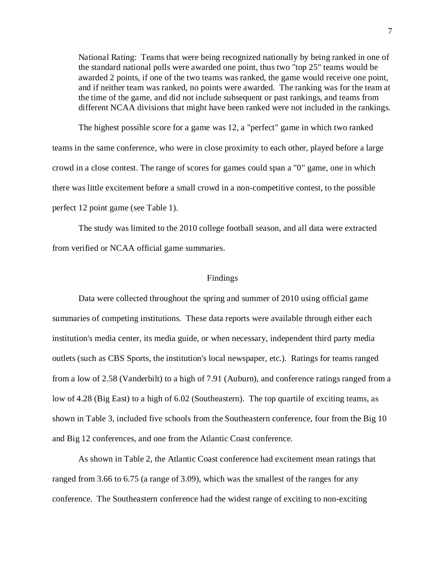National Rating: Teams that were being recognized nationally by being ranked in one of the standard national polls were awarded one point, thus two "top 25" teams would be awarded 2 points, if one of the two teams was ranked, the game would receive one point, and if neither team was ranked, no points were awarded. The ranking was for the team at the time of the game, and did not include subsequent or past rankings, and teams from different NCAA divisions that might have been ranked were not included in the rankings.

The highest possible score for a game was 12, a "perfect" game in which two ranked teams in the same conference, who were in close proximity to each other, played before a large crowd in a close contest. The range of scores for games could span a "0" game, one in which there was little excitement before a small crowd in a non-competitive contest, to the possible perfect 12 point game (see Table 1).

The study was limited to the 2010 college football season, and all data were extracted from verified or NCAA official game summaries.

#### Findings

Data were collected throughout the spring and summer of 2010 using official game summaries of competing institutions. These data reports were available through either each institution's media center, its media guide, or when necessary, independent third party media outlets (such as CBS Sports, the institution's local newspaper, etc.). Ratings for teams ranged from a low of 2.58 (Vanderbilt) to a high of 7.91 (Auburn), and conference ratings ranged from a low of 4.28 (Big East) to a high of 6.02 (Southeastern). The top quartile of exciting teams, as shown in Table 3, included five schools from the Southeastern conference, four from the Big 10 and Big 12 conferences, and one from the Atlantic Coast conference.

As shown in Table 2, the Atlantic Coast conference had excitement mean ratings that ranged from 3.66 to 6.75 (a range of 3.09), which was the smallest of the ranges for any conference. The Southeastern conference had the widest range of exciting to non-exciting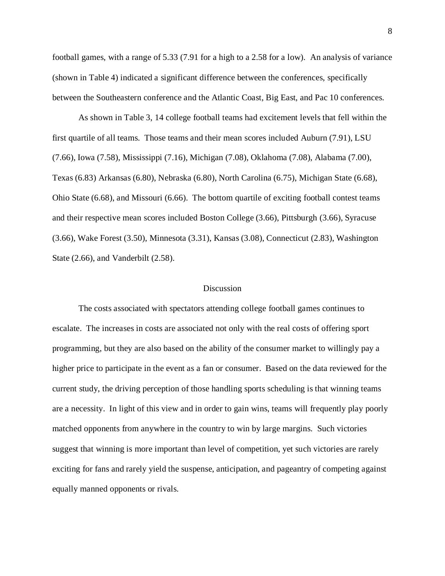football games, with a range of 5.33 (7.91 for a high to a 2.58 for a low). An analysis of variance (shown in Table 4) indicated a significant difference between the conferences, specifically between the Southeastern conference and the Atlantic Coast, Big East, and Pac 10 conferences.

As shown in Table 3, 14 college football teams had excitement levels that fell within the first quartile of all teams. Those teams and their mean scores included Auburn (7.91), LSU (7.66), Iowa (7.58), Mississippi (7.16), Michigan (7.08), Oklahoma (7.08), Alabama (7.00), Texas (6.83) Arkansas (6.80), Nebraska (6.80), North Carolina (6.75), Michigan State (6.68), Ohio State (6.68), and Missouri (6.66). The bottom quartile of exciting football contest teams and their respective mean scores included Boston College (3.66), Pittsburgh (3.66), Syracuse (3.66), Wake Forest (3.50), Minnesota (3.31), Kansas (3.08), Connecticut (2.83), Washington State (2.66), and Vanderbilt (2.58).

#### Discussion

The costs associated with spectators attending college football games continues to escalate. The increases in costs are associated not only with the real costs of offering sport programming, but they are also based on the ability of the consumer market to willingly pay a higher price to participate in the event as a fan or consumer. Based on the data reviewed for the current study, the driving perception of those handling sports scheduling is that winning teams are a necessity. In light of this view and in order to gain wins, teams will frequently play poorly matched opponents from anywhere in the country to win by large margins. Such victories suggest that winning is more important than level of competition, yet such victories are rarely exciting for fans and rarely yield the suspense, anticipation, and pageantry of competing against equally manned opponents or rivals.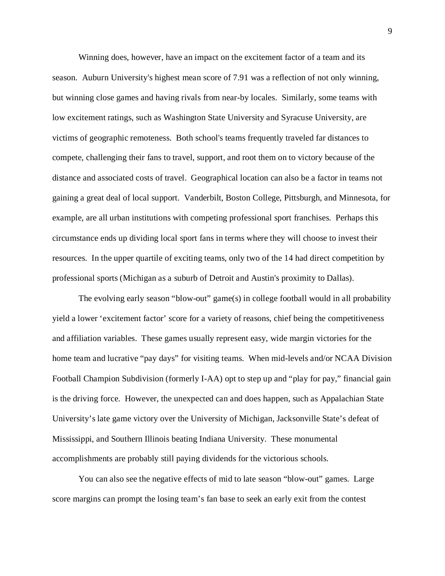Winning does, however, have an impact on the excitement factor of a team and its season. Auburn University's highest mean score of 7.91 was a reflection of not only winning, but winning close games and having rivals from near-by locales. Similarly, some teams with low excitement ratings, such as Washington State University and Syracuse University, are victims of geographic remoteness. Both school's teams frequently traveled far distances to compete, challenging their fans to travel, support, and root them on to victory because of the distance and associated costs of travel. Geographical location can also be a factor in teams not gaining a great deal of local support. Vanderbilt, Boston College, Pittsburgh, and Minnesota, for example, are all urban institutions with competing professional sport franchises. Perhaps this circumstance ends up dividing local sport fans in terms where they will choose to invest their resources. In the upper quartile of exciting teams, only two of the 14 had direct competition by professional sports (Michigan as a suburb of Detroit and Austin's proximity to Dallas).

The evolving early season "blow-out" game(s) in college football would in all probability yield a lower 'excitement factor' score for a variety of reasons, chief being the competitiveness and affiliation variables. These games usually represent easy, wide margin victories for the home team and lucrative "pay days" for visiting teams. When mid-levels and/or NCAA Division Football Champion Subdivision (formerly I-AA) opt to step up and "play for pay," financial gain is the driving force. However, the unexpected can and does happen, such as Appalachian State University's late game victory over the University of Michigan, Jacksonville State's defeat of Mississippi, and Southern Illinois beating Indiana University. These monumental accomplishments are probably still paying dividends for the victorious schools.

You can also see the negative effects of mid to late season "blow-out" games. Large score margins can prompt the losing team's fan base to seek an early exit from the contest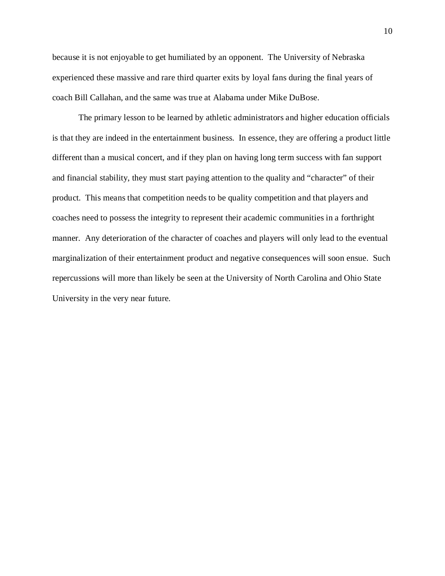because it is not enjoyable to get humiliated by an opponent. The University of Nebraska experienced these massive and rare third quarter exits by loyal fans during the final years of coach Bill Callahan, and the same was true at Alabama under Mike DuBose.

The primary lesson to be learned by athletic administrators and higher education officials is that they are indeed in the entertainment business. In essence, they are offering a product little different than a musical concert, and if they plan on having long term success with fan support and financial stability, they must start paying attention to the quality and "character" of their product. This means that competition needs to be quality competition and that players and coaches need to possess the integrity to represent their academic communities in a forthright manner. Any deterioration of the character of coaches and players will only lead to the eventual marginalization of their entertainment product and negative consequences will soon ensue. Such repercussions will more than likely be seen at the University of North Carolina and Ohio State University in the very near future.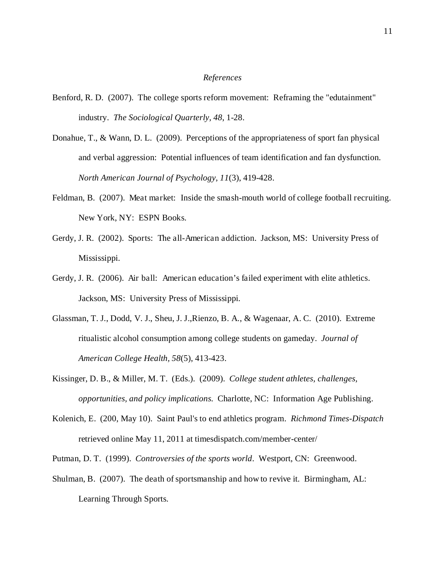### *References*

- Benford, R. D. (2007). The college sports reform movement: Reframing the "edutainment" industry. *The Sociological Quarterly, 48*, 1-28.
- Donahue, T., & Wann, D. L. (2009). Perceptions of the appropriateness of sport fan physical and verbal aggression: Potential influences of team identification and fan dysfunction. *North American Journal of Psychology, 11*(3), 419-428.
- Feldman, B. (2007). Meat market: Inside the smash-mouth world of college football recruiting. New York, NY: ESPN Books.
- Gerdy, J. R. (2002). Sports: The all-American addiction. Jackson, MS: University Press of Mississippi.
- Gerdy, J. R. (2006). Air ball: American education's failed experiment with elite athletics. Jackson, MS: University Press of Mississippi.
- Glassman, T. J., Dodd, V. J., Sheu, J. J.,Rienzo, B. A., & Wagenaar, A. C. (2010). Extreme ritualistic alcohol consumption among college students on gameday. *Journal of American College Health, 58*(5), 413-423.
- Kissinger, D. B., & Miller, M. T. (Eds.). (2009). *College student athletes, challenges, opportunities, and policy implications.* Charlotte, NC: Information Age Publishing.
- Kolenich, E. (200, May 10). Saint Paul's to end athletics program. *Richmond Times-Dispatch* retrieved online May 11, 2011 at timesdispatch.com/member-center/
- Putman, D. T. (1999). *Controversies of the sports world*. Westport, CN: Greenwood.
- Shulman, B. (2007). The death of sportsmanship and how to revive it. Birmingham, AL: Learning Through Sports.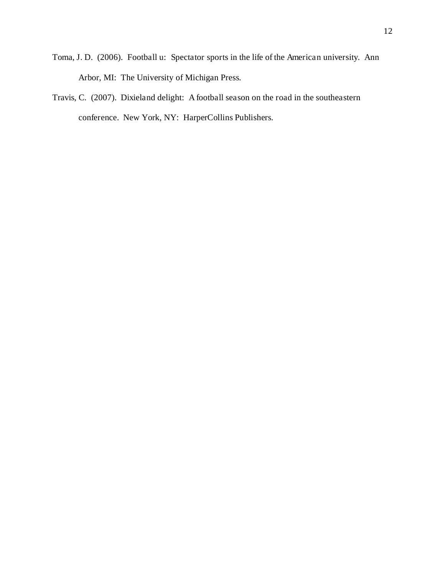- Toma, J. D. (2006). Football u: Spectator sports in the life of the American university. Ann Arbor, MI: The University of Michigan Press.
- Travis, C. (2007). Dixieland delight: A football season on the road in the southeastern conference. New York, NY: HarperCollins Publishers.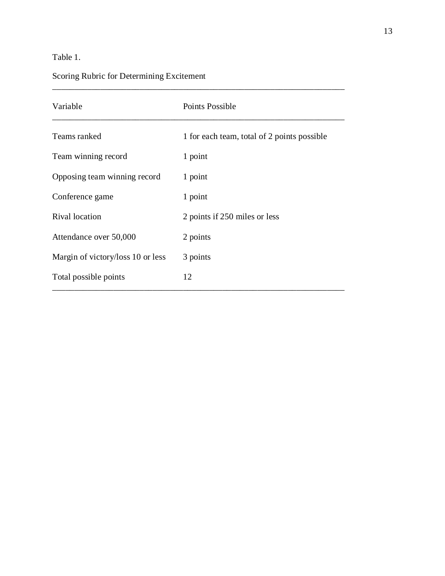### Table 1.

## Scoring Rubric for Determining Excitement

| Variable                          | Points Possible                             |  |  |  |
|-----------------------------------|---------------------------------------------|--|--|--|
| Teams ranked                      | 1 for each team, total of 2 points possible |  |  |  |
| Team winning record               | 1 point                                     |  |  |  |
| Opposing team winning record      | 1 point                                     |  |  |  |
| Conference game                   | 1 point                                     |  |  |  |
| Rival location                    | 2 points if 250 miles or less               |  |  |  |
| Attendance over 50,000            | 2 points                                    |  |  |  |
| Margin of victory/loss 10 or less | 3 points                                    |  |  |  |
| Total possible points             | 12                                          |  |  |  |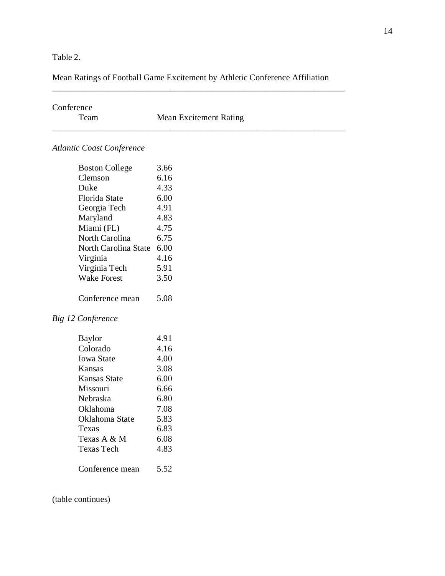Table 2.

### Mean Ratings of Football Game Excitement by Athletic Conference Affiliation

\_\_\_\_\_\_\_\_\_\_\_\_\_\_\_\_\_\_\_\_\_\_\_\_\_\_\_\_\_\_\_\_\_\_\_\_\_\_\_\_\_\_\_\_\_\_\_\_\_\_\_\_\_\_\_\_\_\_\_\_\_\_\_\_\_\_\_

| Conference                       |                               |
|----------------------------------|-------------------------------|
| Team                             | <b>Mean Excitement Rating</b> |
| <b>Atlantic Coast Conference</b> |                               |
| <b>Boston College</b>            | 3.66                          |
| Clemson                          | 6.16                          |
| Duke                             | 4.33                          |
| Florida State                    | 6.00                          |
| Georgia Tech                     | 4.91                          |
| Maryland                         | 4.83                          |
| Miami (FL)                       | 4.75                          |
| North Carolina                   | 6.75                          |
| North Carolina State             | 6.00                          |
| Virginia                         | 4.16                          |
| Virginia Tech                    | 5.91                          |
| <b>Wake Forest</b>               | 3.50                          |
| Conference mean                  | 5.08                          |
| Big 12 Conference                |                               |
| <b>Baylor</b>                    | 4.91                          |
| Colorado                         | 4.16                          |
| <b>Iowa State</b>                | 4.00                          |
| Kansas                           | 3.08                          |
| <b>Kansas State</b>              | 6.00                          |
| Missouri                         | 6.66                          |
| Nebraska                         | 6.80                          |
| Oklahoma                         | 7.08                          |
| Oklahoma State                   | 5.83                          |
| Texas                            | 6.83                          |
| Texas A & M                      | 6.08                          |
| Texas Tech                       | 4.83                          |
| Conference mean                  | 5.52                          |
|                                  |                               |

(table continues)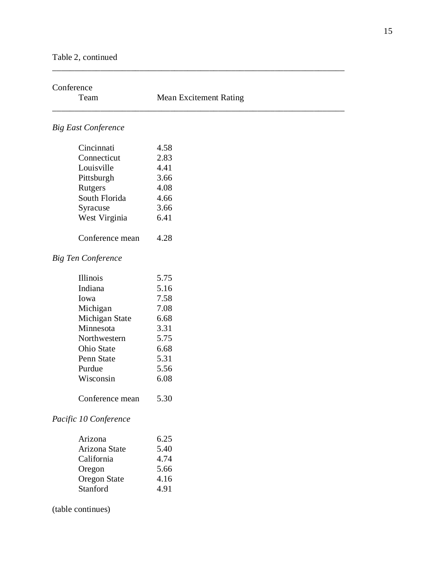| Conference                 |                               |
|----------------------------|-------------------------------|
| Team                       | <b>Mean Excitement Rating</b> |
| <b>Big East Conference</b> |                               |
| Cincinnati                 | 4.58                          |
| Connecticut                | 2.83                          |
| Louisville                 | 4.41                          |
| Pittsburgh                 | 3.66                          |
| Rutgers                    | 4.08                          |
| South Florida              | 4.66                          |
| Syracuse                   | 3.66                          |
| West Virginia              | 6.41                          |
| Conference mean            | 4.28                          |
| <b>Big Ten Conference</b>  |                               |
| Illinois                   | 5.75                          |
| Indiana                    | 5.16                          |
| Iowa                       | 7.58                          |
| Michigan                   | 7.08                          |
| Michigan State             | 6.68                          |
| Minnesota                  | 3.31                          |
| Northwestern               | 5.75                          |
| Ohio State                 | 6.68                          |
| Penn State                 | 5.31                          |
| Purdue                     | 5.56                          |
| Wisconsin                  | 6.08                          |
| Conference mean            | 5.30                          |
| Pacific 10 Conference      |                               |
| Arizona                    | 6.25                          |
| Arizona State              | 5.40                          |
| California                 | 4.74                          |
| Oregon                     | 5.66                          |
| <b>Oregon State</b>        | 4.16                          |
| Stanford                   | 4.91                          |
| (table continues)          |                               |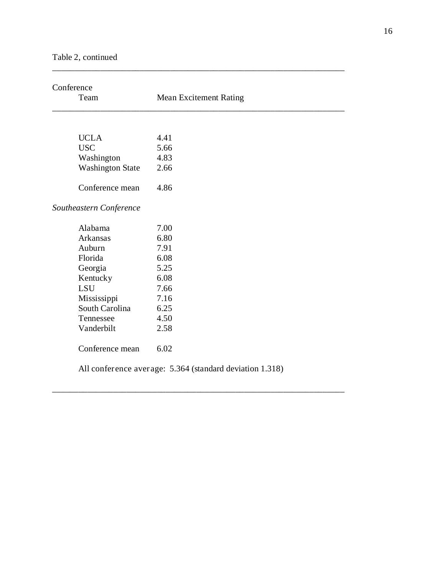| Team                    | <b>Mean Excitement Rating</b> |  |  |
|-------------------------|-------------------------------|--|--|
|                         |                               |  |  |
| <b>UCLA</b>             | 4.41                          |  |  |
| <b>USC</b>              | 5.66                          |  |  |
| Washington              | 4.83                          |  |  |
| <b>Washington State</b> | 2.66                          |  |  |
| Conference mean         | 4.86                          |  |  |
| Southeastern Conference |                               |  |  |
| Alabama                 | 7.00                          |  |  |
| Arkansas                | 6.80                          |  |  |
| Auburn                  | 7.91                          |  |  |
| Florida                 | 6.08                          |  |  |
| Georgia                 | 5.25                          |  |  |
| Kentucky                | 6.08                          |  |  |
| <b>LSU</b>              | 7.66                          |  |  |
| Mississippi             | 7.16                          |  |  |
| South Carolina          | 6.25                          |  |  |
| Tennessee               | 4.50                          |  |  |
| Vanderbilt              | 2.58                          |  |  |
| Conference mean         | 6.02                          |  |  |

\_\_\_\_\_\_\_\_\_\_\_\_\_\_\_\_\_\_\_\_\_\_\_\_\_\_\_\_\_\_\_\_\_\_\_\_\_\_\_\_\_\_\_\_\_\_\_\_\_\_\_\_\_\_\_\_\_\_\_\_\_\_\_\_\_\_\_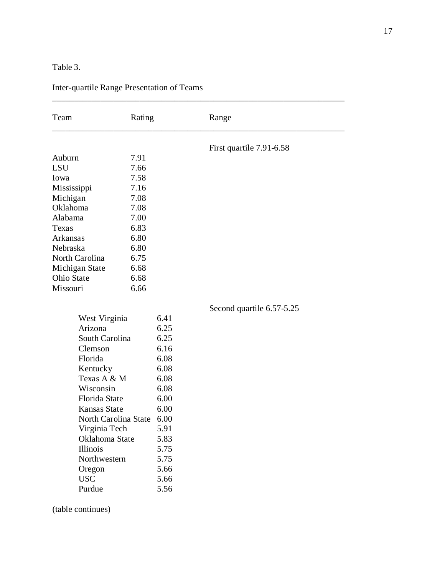### Table 3.

| Team                               | Rating |      | Range                     |
|------------------------------------|--------|------|---------------------------|
|                                    |        |      | First quartile 7.91-6.58  |
| Auburn                             | 7.91   |      |                           |
| <b>LSU</b>                         | 7.66   |      |                           |
| Iowa                               | 7.58   |      |                           |
| Mississippi                        | 7.16   |      |                           |
| Michigan                           | 7.08   |      |                           |
| Oklahoma                           | 7.08   |      |                           |
| Alabama                            | 7.00   |      |                           |
| Texas                              | 6.83   |      |                           |
| Arkansas                           | 6.80   |      |                           |
| Nebraska                           | 6.80   |      |                           |
| North Carolina                     | 6.75   |      |                           |
| Michigan State                     | 6.68   |      |                           |
| Ohio State                         | 6.68   |      |                           |
| Missouri                           | 6.66   |      |                           |
|                                    |        |      | Second quartile 6.57-5.25 |
| 6.41<br>West Virginia              |        |      |                           |
| Arizona                            |        | 6.25 |                           |
| $\Omega$ <sub>O</sub> uth Carolina |        | 6.25 |                           |

### Inter-quartile Range Presentation of Teams

| West Virginia        | 6.41 |
|----------------------|------|
| Arizona              | 6.25 |
| South Carolina       | 6.25 |
| Clemson              | 6.16 |
| Florida              | 6.08 |
| Kentucky             | 6.08 |
| Texas A & M          | 6.08 |
| Wisconsin            | 6.08 |
| Florida State        | 6.00 |
| Kansas State         | 6.00 |
| North Carolina State | 6.00 |
| Virginia Tech        | 5.91 |
| Oklahoma State       | 5.83 |
| Illinois             | 5.75 |
| Northwestern         | 5.75 |
| Oregon               | 5.66 |
| <b>USC</b>           | 5.66 |
| Purdue               | 5.56 |

(table continues)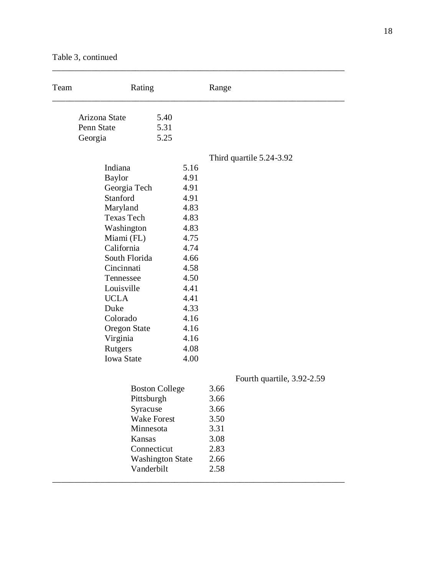Table 3, continued

| Team | Rating                                                                                                                                                                                                                                                          |                                                                                                                                              | Range                                                                |                            |
|------|-----------------------------------------------------------------------------------------------------------------------------------------------------------------------------------------------------------------------------------------------------------------|----------------------------------------------------------------------------------------------------------------------------------------------|----------------------------------------------------------------------|----------------------------|
|      | Arizona State<br>Penn State<br>Georgia                                                                                                                                                                                                                          | 5.40<br>5.31<br>5.25                                                                                                                         |                                                                      |                            |
|      |                                                                                                                                                                                                                                                                 |                                                                                                                                              |                                                                      | Third quartile 5.24-3.92   |
|      | Indiana<br><b>Baylor</b><br>Georgia Tech<br>Stanford<br>Maryland<br><b>Texas Tech</b><br>Washington<br>Miami (FL)<br>California<br>South Florida<br>Cincinnati<br>Tennessee<br>Louisville<br><b>UCLA</b><br>Duke<br>Colorado<br><b>Oregon State</b><br>Virginia | 5.16<br>4.91<br>4.91<br>4.91<br>4.83<br>4.83<br>4.83<br>4.75<br>4.74<br>4.66<br>4.58<br>4.50<br>4.41<br>4.41<br>4.33<br>4.16<br>4.16<br>4.16 |                                                                      |                            |
|      | Rutgers                                                                                                                                                                                                                                                         | 4.08                                                                                                                                         |                                                                      |                            |
|      | <b>Iowa State</b><br>Pittsburgh<br>Syracuse<br>Minnesota<br>Kansas<br>Vanderbilt                                                                                                                                                                                | 4.00<br><b>Boston College</b><br><b>Wake Forest</b><br>Connecticut<br><b>Washington State</b>                                                | 3.66<br>3.66<br>3.66<br>3.50<br>3.31<br>3.08<br>2.83<br>2.66<br>2.58 | Fourth quartile, 3.92-2.59 |